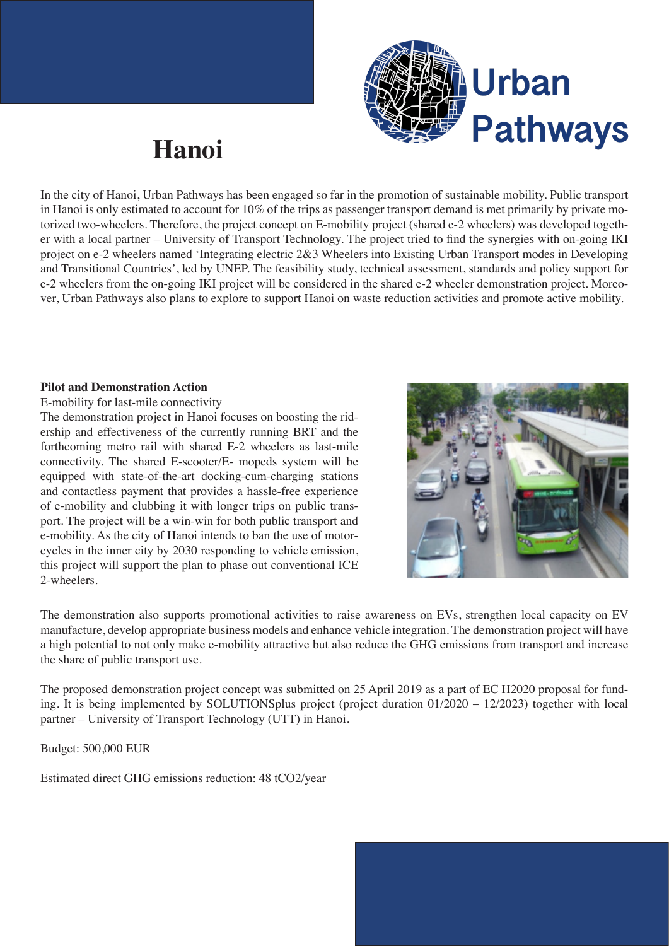

## **Hanoi**

In the city of Hanoi, Urban Pathways has been engaged so far in the promotion of sustainable mobility. Public transport in Hanoi is only estimated to account for  $10\%$  of the trips as passenger transport demand is met primarily by private motorized two-wheelers. Therefore, the project concept on E-mobility project (shared e-2 wheelers) was developed together with a local partner – University of Transport Technology. The project tried to find the synergies with on-going IKI project on e-2 wheelers named 'Integrating electric 2&3 Wheelers into Existing Urban Transport modes in Developing and Transitional Countries', led by UNEP. The feasibility study, technical assessment, standards and policy support for e-2 wheelers from the on-going IKI project will be considered in the shared e-2 wheeler demonstration project. Moreover, Urban Pathways also plans to explore to support Hanoi on waste reduction activities and promote active mobility.

## **Pilot and Demonstration Action**

## E-mobility for last-mile connectivity

The demonstration project in Hanoi focuses on boosting the ridership and effectiveness of the currently running BRT and the forthcoming metro rail with shared E-2 wheelers as last-mile connectivity. The shared E-scooter/E- mopeds system will be equipped with state-of-the-art docking-cum-charging stations and contactless payment that provides a hassle-free experience of e-mobility and clubbing it with longer trips on public transport. The project will be a win-win for both public transport and e-mobility. As the city of Hanoi intends to ban the use of motorcycles in the inner city by 2030 responding to vehicle emission, this project will support the plan to phase out conventional ICE 2-wheelers.



The demonstration also supports promotional activities to raise awareness on EVs, strengthen local capacity on EV manufacture, develop appropriate business models and enhance vehicle integration. The demonstration project will have a high potential to not only make e-mobility attractive but also reduce the GHG emissions from transport and increase the share of public transport use.

The proposed demonstration project concept was submitted on 25 April 2019 as a part of EC H2020 proposal for funding. It is being implemented by SOLUTIONSplus project (project duration 01/2020 – 12/2023) together with local partner – University of Transport Technology (UTT) in Hanoi.

Budget: 500,000 EUR

Estimated direct GHG emissions reduction: 48 tCO2/year